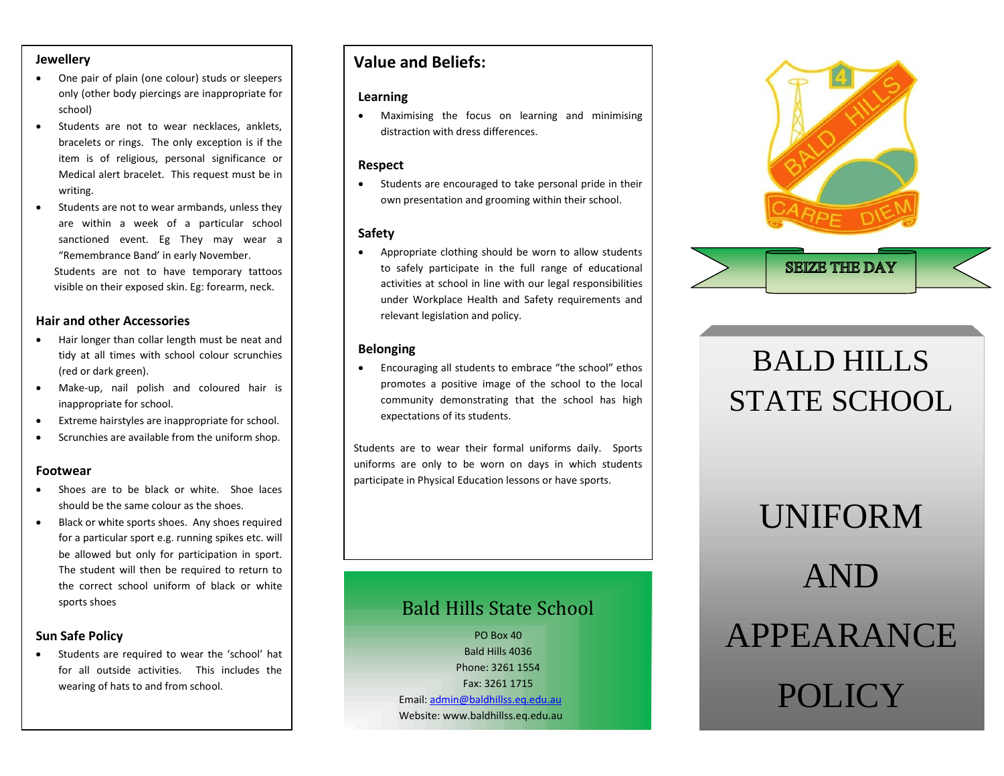### **Jewellery**

- One pair of plain (one colour) studs or sleepers only (other body piercings are inappropriate for school)
- Students are not to wear necklaces, anklets, bracelets or rings. The only exception is if the item is of religious, personal significance or Medical alert bracelet. This request must be in writing.
- Students are not to wear armbands, unless they are within a week of a particular school sanctioned event. Eg They may wear a "Remembrance Band' in early November. Students are not to have temporary tattoos visible on their exposed skin. Eg: forearm, neck.

### **Hair and other Accessories**

- Hair longer than collar length must be neat and tidy at all times with school colour scrunchies (red or dark green).
- Make-up, nail polish and coloured hair is inappropriate for school.
- Extreme hairstyles are inappropriate for school.
- Scrunchies are available from the uniform shop.

#### **Footwear**

- Shoes are to be black or white. Shoe laces should be the same colour as the shoes.
- Black or white sports shoes. Any shoes required for a particular sport e.g. running spikes etc. will be allowed but only for participation in sport. The student will then be required to return to the correct school uniform of black or white sports shoes

### **Sun Safe Policy**

 Students are required to wear the 'school' hat for all outside activities. This includes the wearing of hats to and from school.

### **Value and Beliefs:**

### **Learning**

 Maximising the focus on learning and minimising distraction with dress differences.

### **Respect**

 Students are encouraged to take personal pride in their own presentation and grooming within their school.

### **Safety**

 Appropriate clothing should be worn to allow students to safely participate in the full range of educational activities at school in line with our legal responsibilities under Workplace Health and Safety requirements and relevant legislation and policy.

### **Belonging**

 Encouraging all students to embrace "the school" ethos promotes a positive image of the school to the local community demonstrating that the school has high expectations of its students.

Students are to wear their formal uniforms daily. Sports uniforms are only to be worn on days in which students participate in Physical Education lessons or have sports.

# Bald Hills State School

PO Box 40 Bald Hills 4036 Phone: 3261 1554 Fax: 3261 1715 Email[: admin@baldhillss.eq.edu.au](mailto:admin@baldhillss.eq.edu.au) Website: www.baldhillss.eq.edu.au



# BALD HILLS STATE SCHOOL

# UNIFORM AND APPEARANCE POLICY